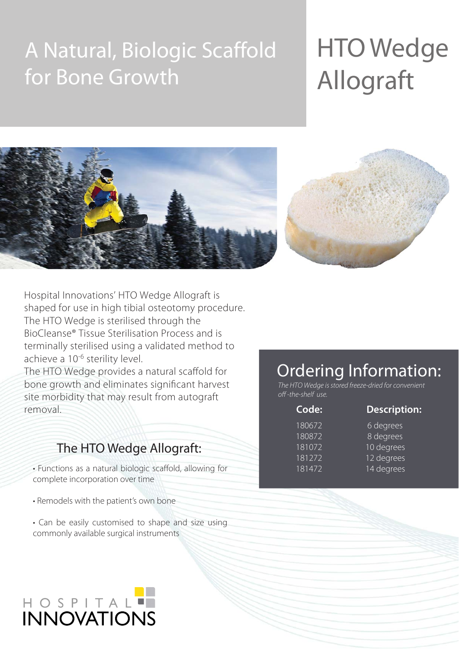## A Natural, Biologic Scaffold for Bone Growth

# HTO Wedge Allograft





Hospital Innovations' HTO Wedge Allograft is shaped for use in high tibial osteotomy procedure. The HTO Wedge is sterilised through the BioCleanse® Tissue Sterilisation Process and is terminally sterilised using a validated method to achieve a 10<sup>-6</sup> sterility level.

The HTO Wedge provides a natural scaffold for bone growth and eliminates significant harvest site morbidity that may result from autograft removal

### The HTO Wedge Allograft:

• Functions as a natural biologic scaffold, allowing for complete incorporation over time

- Remodels with the patient's own bone
- Can be easily customised to shape and size using commonly available surgical instruments

# HOSPITAL<sup>T</sup>

### Ordering Information:

The HTO Wedge is stored freeze-dried for convenient off -the-shelf use.

| Code:               | <b>Description:</b>    |
|---------------------|------------------------|
| 180672              | 6 degrees              |
| $\overline{180}872$ | 8 degrees              |
| 181072              | 10 degrees             |
| 181272              | $\frac{12}{2}$ degrees |
| 181472              | 14 degrees             |